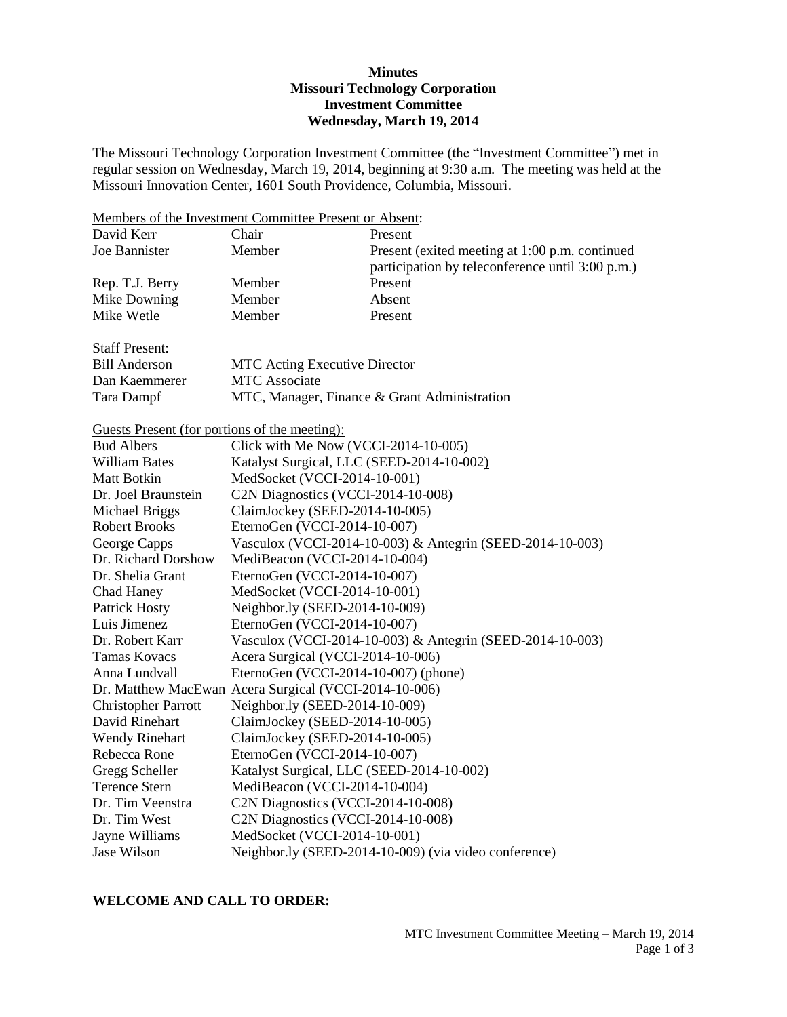### **Minutes Missouri Technology Corporation Investment Committee Wednesday, March 19, 2014**

The Missouri Technology Corporation Investment Committee (the "Investment Committee") met in regular session on Wednesday, March 19, 2014, beginning at 9:30 a.m. The meeting was held at the Missouri Innovation Center, 1601 South Providence, Columbia, Missouri.

|                                                      | Members of the Investment Committee Present or Absent: |                                                           |
|------------------------------------------------------|--------------------------------------------------------|-----------------------------------------------------------|
| David Kerr                                           | Chair                                                  | Present                                                   |
| Joe Bannister                                        | Member                                                 | Present (exited meeting at 1:00 p.m. continued            |
|                                                      |                                                        | participation by teleconference until 3:00 p.m.)          |
| Rep. T.J. Berry                                      | Member                                                 | Present                                                   |
| Mike Downing                                         | Member                                                 | Absent                                                    |
| Mike Wetle                                           | Member                                                 | Present                                                   |
| <b>Staff Present:</b>                                |                                                        |                                                           |
| <b>Bill Anderson</b>                                 | <b>MTC Acting Executive Director</b>                   |                                                           |
| Dan Kaemmerer                                        | <b>MTC</b> Associate                                   |                                                           |
| Tara Dampf                                           |                                                        | MTC, Manager, Finance & Grant Administration              |
| <u>Guests Present (for portions of the meeting):</u> |                                                        |                                                           |
| <b>Bud Albers</b>                                    | Click with Me Now (VCCI-2014-10-005)                   |                                                           |
| <b>William Bates</b>                                 | Katalyst Surgical, LLC (SEED-2014-10-002)              |                                                           |
| <b>Matt Botkin</b>                                   | MedSocket (VCCI-2014-10-001)                           |                                                           |
| Dr. Joel Braunstein                                  | C2N Diagnostics (VCCI-2014-10-008)                     |                                                           |
| Michael Briggs                                       | ClaimJockey (SEED-2014-10-005)                         |                                                           |
| <b>Robert Brooks</b>                                 | EternoGen (VCCI-2014-10-007)                           |                                                           |
| George Capps                                         |                                                        | Vasculox (VCCI-2014-10-003) & Antegrin (SEED-2014-10-003) |
| Dr. Richard Dorshow                                  | MediBeacon (VCCI-2014-10-004)                          |                                                           |
| Dr. Shelia Grant                                     | EternoGen (VCCI-2014-10-007)                           |                                                           |
| Chad Haney                                           | MedSocket (VCCI-2014-10-001)                           |                                                           |
| <b>Patrick Hosty</b>                                 | Neighbor.ly (SEED-2014-10-009)                         |                                                           |
| Luis Jimenez                                         | EternoGen (VCCI-2014-10-007)                           |                                                           |
| Dr. Robert Karr                                      |                                                        | Vasculox (VCCI-2014-10-003) & Antegrin (SEED-2014-10-003) |
| <b>Tamas Kovacs</b>                                  | Acera Surgical (VCCI-2014-10-006)                      |                                                           |
| Anna Lundvall                                        | EternoGen (VCCI-2014-10-007) (phone)                   |                                                           |
|                                                      | Dr. Matthew MacEwan Acera Surgical (VCCI-2014-10-006)  |                                                           |
| <b>Christopher Parrott</b>                           | Neighbor.ly (SEED-2014-10-009)                         |                                                           |
| David Rinehart                                       | ClaimJockey (SEED-2014-10-005)                         |                                                           |
| <b>Wendy Rinehart</b>                                | ClaimJockey (SEED-2014-10-005)                         |                                                           |
| Rebecca Rone                                         | EternoGen (VCCI-2014-10-007)                           |                                                           |
| Gregg Scheller                                       | Katalyst Surgical, LLC (SEED-2014-10-002)              |                                                           |
| <b>Terence Stern</b>                                 | MediBeacon (VCCI-2014-10-004)                          |                                                           |
| Dr. Tim Veenstra                                     | C2N Diagnostics (VCCI-2014-10-008)                     |                                                           |
| Dr. Tim West                                         | C2N Diagnostics (VCCI-2014-10-008)                     |                                                           |
| Jayne Williams                                       | MedSocket (VCCI-2014-10-001)                           |                                                           |
| Jase Wilson                                          |                                                        | Neighbor.ly (SEED-2014-10-009) (via video conference)     |

# **WELCOME AND CALL TO ORDER:**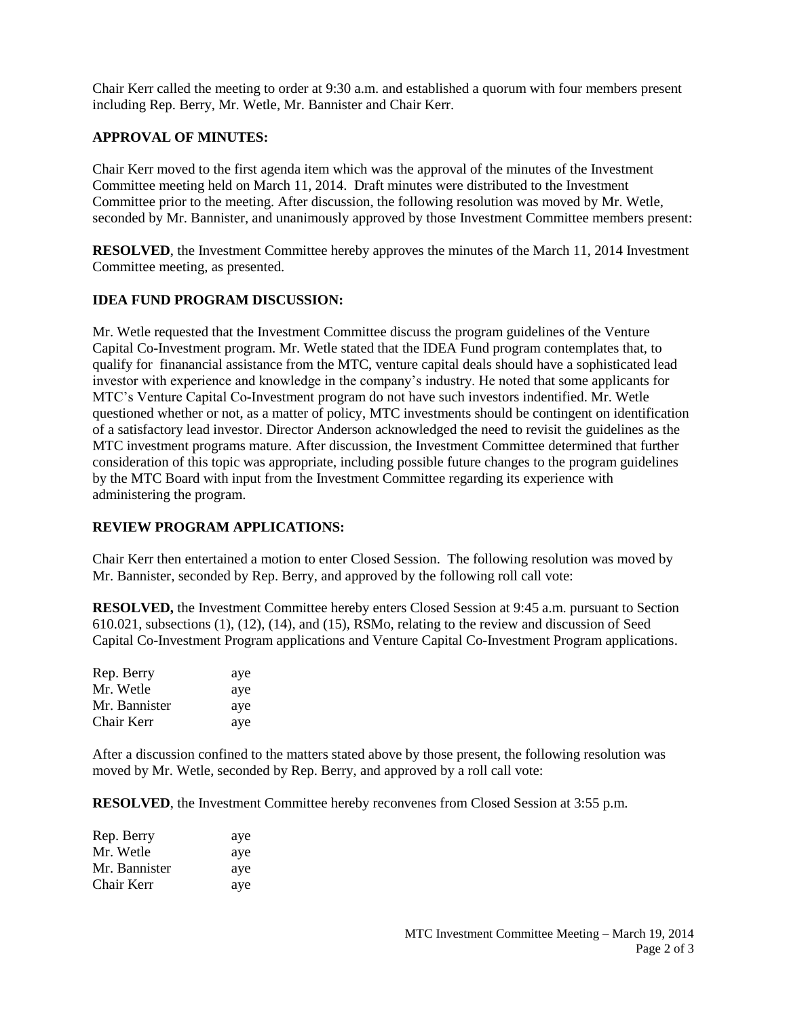Chair Kerr called the meeting to order at 9:30 a.m. and established a quorum with four members present including Rep. Berry, Mr. Wetle, Mr. Bannister and Chair Kerr.

# **APPROVAL OF MINUTES:**

Chair Kerr moved to the first agenda item which was the approval of the minutes of the Investment Committee meeting held on March 11, 2014. Draft minutes were distributed to the Investment Committee prior to the meeting. After discussion, the following resolution was moved by Mr. Wetle, seconded by Mr. Bannister, and unanimously approved by those Investment Committee members present:

**RESOLVED**, the Investment Committee hereby approves the minutes of the March 11, 2014 Investment Committee meeting, as presented.

### **IDEA FUND PROGRAM DISCUSSION:**

Mr. Wetle requested that the Investment Committee discuss the program guidelines of the Venture Capital Co-Investment program. Mr. Wetle stated that the IDEA Fund program contemplates that, to qualify for finanancial assistance from the MTC, venture capital deals should have a sophisticated lead investor with experience and knowledge in the company's industry. He noted that some applicants for MTC's Venture Capital Co-Investment program do not have such investors indentified. Mr. Wetle questioned whether or not, as a matter of policy, MTC investments should be contingent on identification of a satisfactory lead investor. Director Anderson acknowledged the need to revisit the guidelines as the MTC investment programs mature. After discussion, the Investment Committee determined that further consideration of this topic was appropriate, including possible future changes to the program guidelines by the MTC Board with input from the Investment Committee regarding its experience with administering the program.

### **REVIEW PROGRAM APPLICATIONS:**

Chair Kerr then entertained a motion to enter Closed Session. The following resolution was moved by Mr. Bannister, seconded by Rep. Berry, and approved by the following roll call vote:

**RESOLVED,** the Investment Committee hereby enters Closed Session at 9:45 a.m. pursuant to Section 610.021, subsections (1), (12), (14), and (15), RSMo, relating to the review and discussion of Seed Capital Co-Investment Program applications and Venture Capital Co-Investment Program applications.

| Rep. Berry    | aye |
|---------------|-----|
| Mr. Wetle     | aye |
| Mr. Bannister | aye |
| Chair Kerr    | aye |

After a discussion confined to the matters stated above by those present, the following resolution was moved by Mr. Wetle, seconded by Rep. Berry, and approved by a roll call vote:

**RESOLVED**, the Investment Committee hereby reconvenes from Closed Session at 3:55 p.m.

| Rep. Berry    | aye |
|---------------|-----|
| Mr. Wetle     | aye |
| Mr. Bannister | aye |
| Chair Kerr    | aye |